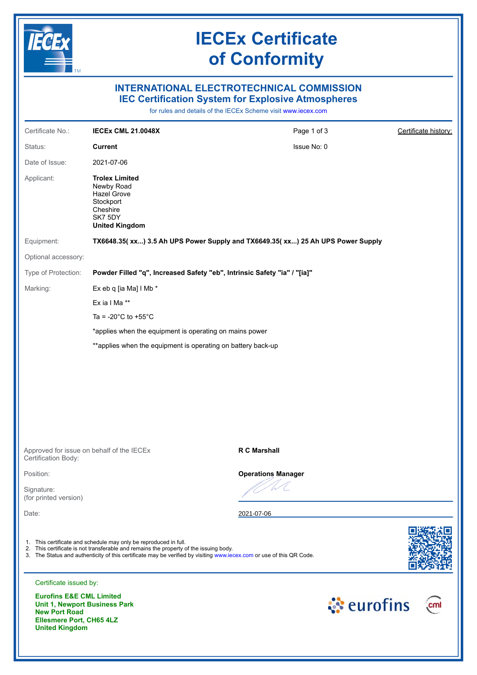

# **IECEx Certificate of Conformity**

## **INTERNATIONAL ELECTROTECHNICAL COMMISSION IEC Certification System for Explosive Atmospheres**

for rules and details of the IECEx Scheme visit [www.iecex.com](https://www.iecex.com)

| Certificate No.:                    | <b>IECEX CML 21.0048X</b>                                                                                                                                 | Page 1 of 3                                                                                                          | Certificate history: |
|-------------------------------------|-----------------------------------------------------------------------------------------------------------------------------------------------------------|----------------------------------------------------------------------------------------------------------------------|----------------------|
| Status:                             | <b>Current</b>                                                                                                                                            | Issue No: 0                                                                                                          |                      |
| Date of Issue:                      | 2021-07-06                                                                                                                                                |                                                                                                                      |                      |
| Applicant:                          | <b>Trolex Limited</b><br>Newby Road<br><b>Hazel Grove</b><br>Stockport<br>Cheshire<br>SK7 5DY<br><b>United Kingdom</b>                                    |                                                                                                                      |                      |
| Equipment:                          |                                                                                                                                                           | TX6648.35( xx) 3.5 Ah UPS Power Supply and TX6649.35( xx) 25 Ah UPS Power Supply                                     |                      |
| Optional accessory:                 |                                                                                                                                                           |                                                                                                                      |                      |
| Type of Protection:                 |                                                                                                                                                           | Powder Filled "q", Increased Safety "eb", Intrinsic Safety "ia" / "[ia]"                                             |                      |
| Marking:                            | Ex eb q [ia Ma] I Mb *                                                                                                                                    |                                                                                                                      |                      |
|                                     | Ex ia I Ma **                                                                                                                                             |                                                                                                                      |                      |
|                                     | Ta = -20 $^{\circ}$ C to +55 $^{\circ}$ C                                                                                                                 |                                                                                                                      |                      |
|                                     | *applies when the equipment is operating on mains power                                                                                                   |                                                                                                                      |                      |
|                                     | **applies when the equipment is operating on battery back-up                                                                                              |                                                                                                                      |                      |
|                                     |                                                                                                                                                           |                                                                                                                      |                      |
| Certification Body:                 | Approved for issue on behalf of the IECEx                                                                                                                 | <b>R C Marshall</b>                                                                                                  |                      |
| Position:                           |                                                                                                                                                           | <b>Operations Manager</b>                                                                                            |                      |
| Signature:<br>(for printed version) |                                                                                                                                                           |                                                                                                                      |                      |
| Date:                               |                                                                                                                                                           | 2021-07-06                                                                                                           |                      |
|                                     | 1. This certificate and schedule may only be reproduced in full.<br>2. This certificate is not transferable and remains the property of the issuing body. | 3. The Status and authenticity of this certificate may be verified by visiting www.jecex.com or use of this QR Code. |                      |
| Certificate issued by:              |                                                                                                                                                           |                                                                                                                      |                      |
| <b>Eurofins E&amp;E CML Limited</b> | Unit 1, Newport Business Park                                                                                                                             |                                                                                                                      | े eurofins<br>cml    |

**New Port Road Ellesmere Port, CH65 4LZ United Kingdom**

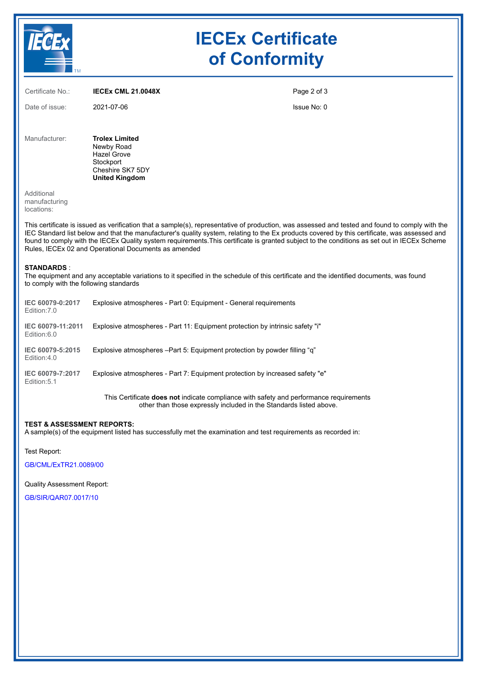|                                           | <b>IECEx Certificate</b><br>of Conformity                                                                           |                                                                                                                                                                                                                                                                                                                                                                                                                                                  |  |
|-------------------------------------------|---------------------------------------------------------------------------------------------------------------------|--------------------------------------------------------------------------------------------------------------------------------------------------------------------------------------------------------------------------------------------------------------------------------------------------------------------------------------------------------------------------------------------------------------------------------------------------|--|
| Certificate No.:                          | <b>IECEX CML 21.0048X</b>                                                                                           | Page 2 of 3                                                                                                                                                                                                                                                                                                                                                                                                                                      |  |
| Date of issue:                            | 2021-07-06                                                                                                          | Issue No: 0                                                                                                                                                                                                                                                                                                                                                                                                                                      |  |
| Manufacturer:                             | <b>Trolex Limited</b><br>Newby Road<br><b>Hazel Grove</b><br>Stockport<br>Cheshire SK7 5DY<br><b>United Kingdom</b> |                                                                                                                                                                                                                                                                                                                                                                                                                                                  |  |
| Additional<br>manufacturing<br>locations: |                                                                                                                     |                                                                                                                                                                                                                                                                                                                                                                                                                                                  |  |
|                                           | Rules, IECEx 02 and Operational Documents as amended                                                                | This certificate is issued as verification that a sample(s), representative of production, was assessed and tested and found to comply with the<br>IEC Standard list below and that the manufacturer's quality system, relating to the Ex products covered by this certificate, was assessed and<br>found to comply with the IECEx Quality system requirements. This certificate is granted subject to the conditions as set out in IECEx Scheme |  |

The equipment and any acceptable variations to it specified in the schedule of this certificate and the identified documents, was found to comply with the following standards

| IEC 60079-0:2017<br>Edition: 7.0 | Explosive atmospheres - Part 0: Equipment - General requirements              |
|----------------------------------|-------------------------------------------------------------------------------|
| IEC 60079-11:2011<br>Edition:6.0 | Explosive atmospheres - Part 11: Equipment protection by intrinsic safety "i" |
| IEC 60079-5:2015<br>Edition:4.0  | Explosive atmospheres –Part 5: Equipment protection by powder filling "q"     |
| IEC 60079-7:2017<br>Edition: 5.1 | Explosive atmospheres - Part 7: Equipment protection by increased safety "e"  |
|                                  |                                                                               |

This Certificate **does not** indicate compliance with safety and performance requirements other than those expressly included in the Standards listed above.

#### **TEST & ASSESSMENT REPORTS:**

A sample(s) of the equipment listed has successfully met the examination and test requirements as recorded in:

Test Report:

[GB/CML/ExTR21.0089/00](https://www.iecex-certs.com/deliverables/REPORT/72710/view)

Quality Assessment Report:

[GB/SIR/QAR07.0017/10](https://www.iecex-certs.com/deliverables/REPORT/70034/view)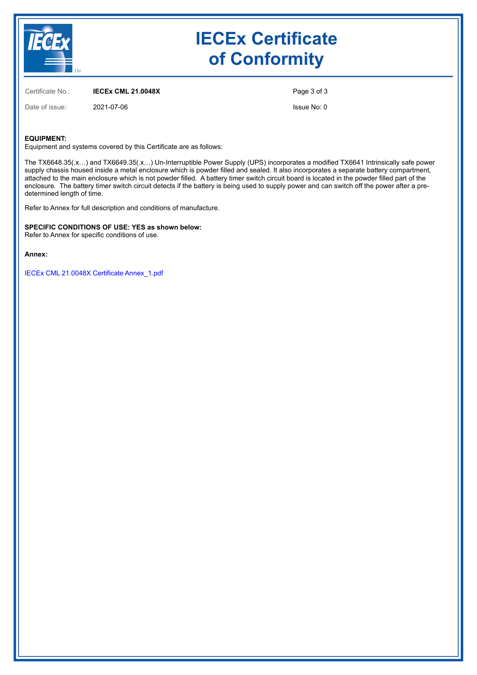

# **IECEx Certificate of Conformity**

Certificate No.: **IECEx CML 21.0048X**

Date of issue: 2021-07-06

Page 3 of 3

Issue No: 0

#### **EQUIPMENT:**

Equipment and systems covered by this Certificate are as follows:

The TX6648.35(.x…) and TX6649.35(.x…) Un-Interruptible Power Supply (UPS) incorporates a modified TX6641 Intrinsically safe power supply chassis housed inside a metal enclosure which is powder filled and sealed. It also incorporates a separate battery compartment, attached to the main enclosure which is not powder filled. A battery timer switch circuit board is located in the powder filled part of the enclosure. The battery timer switch circuit detects if the battery is being used to supply power and can switch off the power after a predetermined length of time.

Refer to Annex for full description and conditions of manufacture.

**SPECIFIC CONDITIONS OF USE: YES as shown below:** Refer to Annex for specific conditions of use.

**Annex:**

[IECEx CML 21.0048X Certificate Annex\\_1.pdf](https://www.iecex-certs.com/deliverables/CERT/53506/view)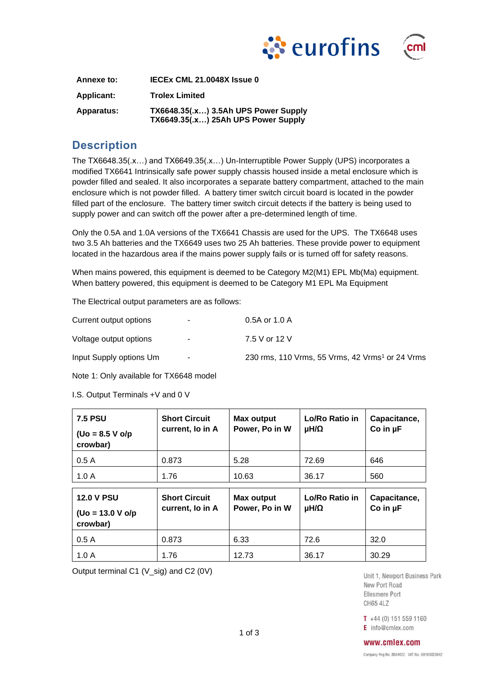

| чш |  |
|----|--|
|    |  |
|    |  |

| Annexe to:        | IECEX CML 21.0048X Issue 0                                                         |
|-------------------|------------------------------------------------------------------------------------|
| <b>Applicant:</b> | <b>Trolex Limited</b>                                                              |
| Apparatus:        | <b>TX6648.35(.x) 3.5Ah UPS Power Supply</b><br>TX6649.35(.x) 25Ah UPS Power Supply |

# **Description**

The TX6648.35(.x…) and TX6649.35(.x…) Un-Interruptible Power Supply (UPS) incorporates a modified TX6641 Intrinsically safe power supply chassis housed inside a metal enclosure which is powder filled and sealed. It also incorporates a separate battery compartment, attached to the main enclosure which is not powder filled. A battery timer switch circuit board is located in the powder filled part of the enclosure. The battery timer switch circuit detects if the battery is being used to supply power and can switch off the power after a pre-determined length of time.

Only the 0.5A and 1.0A versions of the TX6641 Chassis are used for the UPS. The TX6648 uses two 3.5 Ah batteries and the TX6649 uses two 25 Ah batteries. These provide power to equipment located in the hazardous area if the mains power supply fails or is turned off for safety reasons.

When mains powered, this equipment is deemed to be Category M2(M1) EPL Mb(Ma) equipment. When battery powered, this equipment is deemed to be Category M1 EPL Ma Equipment

The Electrical output parameters are as follows:

| Current output options  | н.,    | $0.5A$ or 1.0 A                                             |
|-------------------------|--------|-------------------------------------------------------------|
| Voltage output options  | ۰.     | 7.5 V or 12 V                                               |
| Input Supply options Um | $\sim$ | 230 rms, 110 Vrms, 55 Vrms, 42 Vrms <sup>1</sup> or 24 Vrms |

Note 1: Only available for TX6648 model

I.S. Output Terminals +V and 0 V

| <b>7.5 PSU</b><br>$($ Uo = 8.5 V o/p<br>crowbar)     | <b>Short Circuit</b><br>current, lo in A | Max output<br>Power, Po in W | Lo/Ro Ratio in<br>μH/Ω | Capacitance,<br>Co in $\mu$ F   |
|------------------------------------------------------|------------------------------------------|------------------------------|------------------------|---------------------------------|
| 0.5A                                                 | 0.873                                    | 5.28                         | 72.69                  | 646                             |
| 1.0A                                                 | 1.76                                     | 10.63                        | 36.17                  | 560                             |
|                                                      |                                          |                              |                        |                                 |
| <b>12.0 V PSU</b><br>$($ Uo = 13.0 V o/p<br>crowbar) | <b>Short Circuit</b><br>current, lo in A | Max output<br>Power, Po in W | Lo/Ro Ratio in<br>μH/Ω | Capacitance,<br>$Co$ in $\mu F$ |
| 0.5A                                                 | 0.873                                    | 6.33                         | 72.6                   | 32.0                            |

Output terminal C1 (V\_sig) and C2 (0V)

Unit 1, Newport Business Park New Port Road Ellesmere Port **CH65 4LZ** 

 $T + 44(0) 151 559 1160$ E info@cmlex.com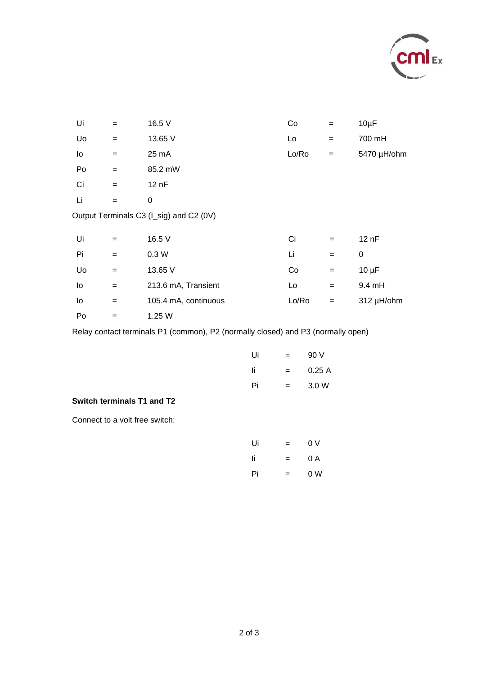

| Ui | $=$ | 16.5 V                                  | Co    | $=$ | $10\mu F$   |
|----|-----|-----------------------------------------|-------|-----|-------------|
| Uo | $=$ | 13.65 V                                 | Lo    | $=$ | 700 mH      |
| lo | $=$ | 25 mA                                   | Lo/Ro | $=$ | 5470 µH/ohm |
| Po | $=$ | 85.2 mW                                 |       |     |             |
| Ci | $=$ | 12 nF                                   |       |     |             |
| Li | $=$ | 0                                       |       |     |             |
|    |     | Output Terminals C3 (I_sig) and C2 (0V) |       |     |             |
|    |     |                                         |       |     |             |
| Ui | $=$ | 16.5 V                                  | Ci    | $=$ | 12 nF       |
| Pi | $=$ | 0.3W                                    | Li    | $=$ | $\mathbf 0$ |
| Uo | $=$ | 13.65 V                                 | Co    | $=$ | $10 \mu F$  |
| lo | $=$ | 213.6 mA, Transient                     | Lo    | $=$ | 9.4 mH      |
| lo | $=$ | 105.4 mA, continuous                    | Lo/Ro | $=$ | 312 µH/ohm  |
|    |     |                                         |       |     |             |

 $Po = 1.25 W$ 

Relay contact terminals P1 (common), P2 (normally closed) and P3 (normally open)

| Ui | = | 90 V   |
|----|---|--------|
| Ιi | = | 0.25 A |
| Pi | = | 3.0 W  |

**Switch terminals T1 and T2** 

Connect to a volt free switch:

| Ui  | = | 0 V |
|-----|---|-----|
| -li | = | 0 A |
| Pi  | = | 0 W |